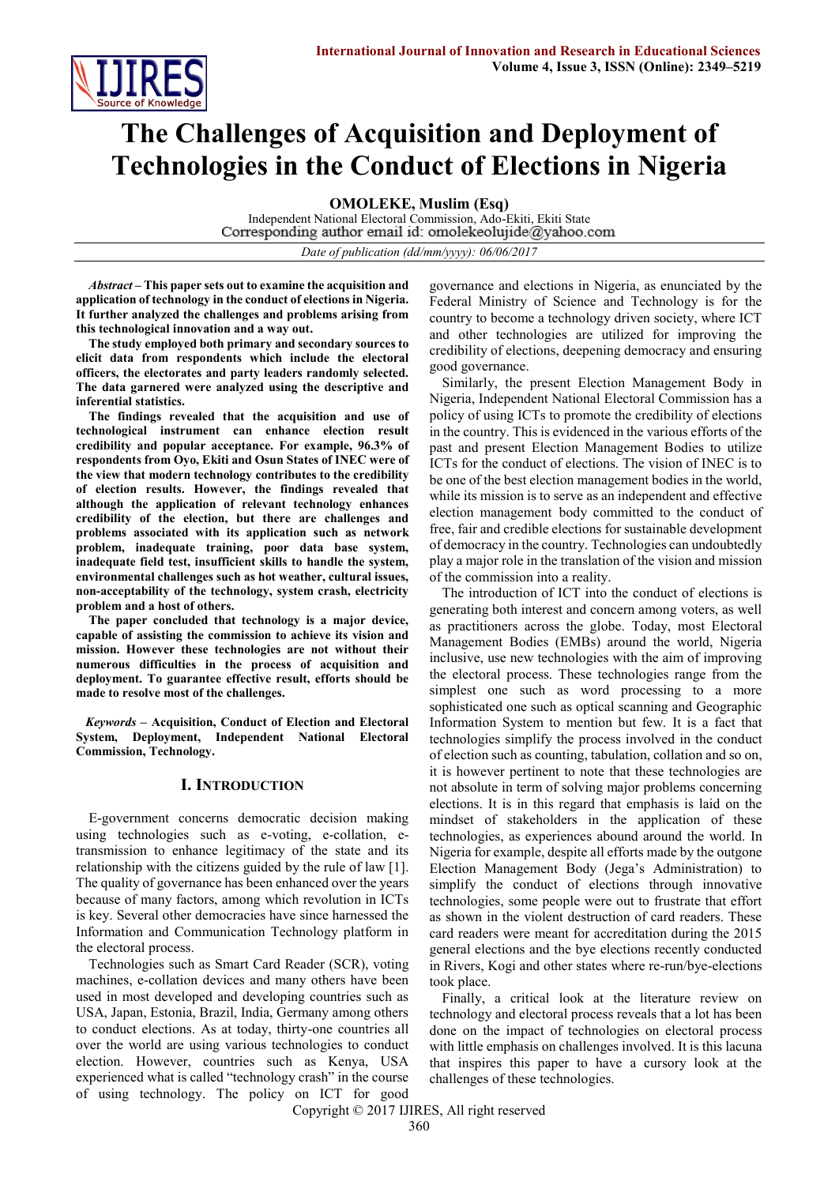

# **The Challenges of Acquisition and Deployment of Technologies in the Conduct of Elections in Nigeria**

**OMOLEKE, Muslim (Esq)**

Independent National Electoral Commission, Ado-Ekiti, Ekiti State<br>Corresponding author email id: omolekeolujide@yahoo.com

*Date of publication (dd/mm/yyyy): 06/06/2017*

*Abstract* **– This paper sets out to examine the acquisition and application of technology in the conduct of elections in Nigeria. It further analyzed the challenges and problems arising from this technological innovation and a way out.**

**The study employed both primary and secondary sources to elicit data from respondents which include the electoral officers, the electorates and party leaders randomly selected. The data garnered were analyzed using the descriptive and inferential statistics.**

**The findings revealed that the acquisition and use of technological instrument can enhance election result credibility and popular acceptance. For example, 96.3% of respondents from Oyo, Ekiti and Osun States of INEC were of the view that modern technology contributes to the credibility of election results. However, the findings revealed that although the application of relevant technology enhances credibility of the election, but there are challenges and problems associated with its application such as network problem, inadequate training, poor data base system, inadequate field test, insufficient skills to handle the system, environmental challenges such as hot weather, cultural issues, non-acceptability of the technology, system crash, electricity problem and a host of others.**

**The paper concluded that technology is a major device, capable of assisting the commission to achieve its vision and mission. However these technologies are not without their numerous difficulties in the process of acquisition and deployment. To guarantee effective result, efforts should be made to resolve most of the challenges.**

 *Keywords* **– Acquisition, Conduct of Election and Electoral System, Deployment, Independent National Electoral Commission, Technology.**

#### **I. INTRODUCTION**

E-government concerns democratic decision making using technologies such as e-voting, e-collation, etransmission to enhance legitimacy of the state and its relationship with the citizens guided by the rule of law [1]. The quality of governance has been enhanced over the years because of many factors, among which revolution in ICTs is key. Several other democracies have since harnessed the Information and Communication Technology platform in the electoral process.

Technologies such as Smart Card Reader (SCR), voting machines, e-collation devices and many others have been used in most developed and developing countries such as USA, Japan, Estonia, Brazil, India, Germany among others to conduct elections. As at today, thirty-one countries all over the world are using various technologies to conduct election. However, countries such as Kenya, USA experienced what is called "technology crash" in the course of using technology. The policy on ICT for good governance and elections in Nigeria, as enunciated by the Federal Ministry of Science and Technology is for the country to become a technology driven society, where ICT and other technologies are utilized for improving the credibility of elections, deepening democracy and ensuring good governance.

Similarly, the present Election Management Body in Nigeria, Independent National Electoral Commission has a policy of using ICTs to promote the credibility of elections in the country. This is evidenced in the various efforts of the past and present Election Management Bodies to utilize ICTs for the conduct of elections. The vision of INEC is to be one of the best election management bodies in the world, while its mission is to serve as an independent and effective election management body committed to the conduct of free, fair and credible elections for sustainable development of democracy in the country. Technologies can undoubtedly play a major role in the translation of the vision and mission of the commission into a reality.

The introduction of ICT into the conduct of elections is generating both interest and concern among voters, as well as practitioners across the globe. Today, most Electoral Management Bodies (EMBs) around the world, Nigeria inclusive, use new technologies with the aim of improving the electoral process. These technologies range from the simplest one such as word processing to a more sophisticated one such as optical scanning and Geographic Information System to mention but few. It is a fact that technologies simplify the process involved in the conduct of election such as counting, tabulation, collation and so on, it is however pertinent to note that these technologies are not absolute in term of solving major problems concerning elections. It is in this regard that emphasis is laid on the mindset of stakeholders in the application of these technologies, as experiences abound around the world. In Nigeria for example, despite all efforts made by the outgone Election Management Body (Jega's Administration) to simplify the conduct of elections through innovative technologies, some people were out to frustrate that effort as shown in the violent destruction of card readers. These card readers were meant for accreditation during the 2015 general elections and the bye elections recently conducted in Rivers, Kogi and other states where re-run/bye-elections took place.

Finally, a critical look at the literature review on technology and electoral process reveals that a lot has been done on the impact of technologies on electoral process with little emphasis on challenges involved. It is this lacuna that inspires this paper to have a cursory look at the challenges of these technologies.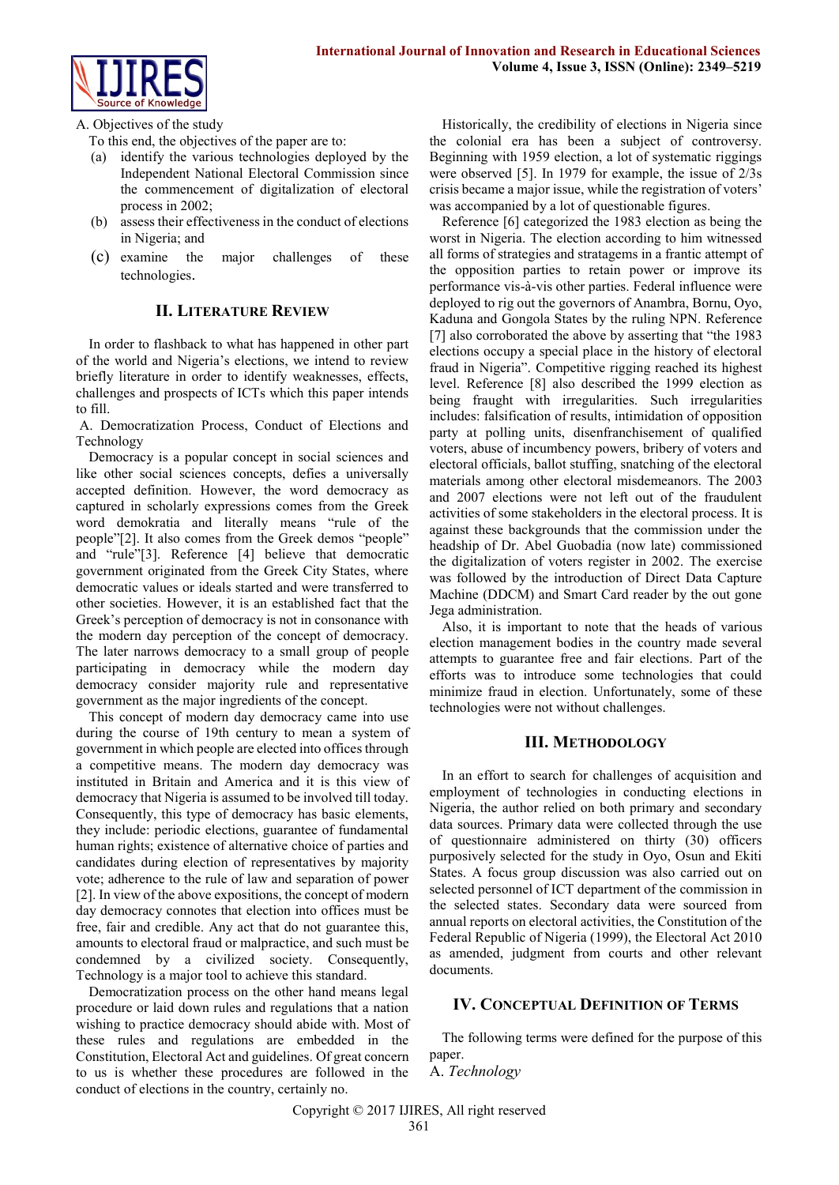

A. Objectives of the study

To this end, the objectives of the paper are to:

- (a) identify the various technologies deployed by the Independent National Electoral Commission since the commencement of digitalization of electoral process in 2002;
- (b) assess their effectiveness in the conduct of elections in Nigeria; and
- (c) examine the major challenges of these technologies.

## **II. LITERATURE REVIEW**

In order to flashback to what has happened in other part of the world and Nigeria's elections, we intend to review briefly literature in order to identify weaknesses, effects, challenges and prospects of ICTs which this paper intends to fill.

A. Democratization Process, Conduct of Elections and Technology

Democracy is a popular concept in social sciences and like other social sciences concepts, defies a universally accepted definition. However, the word democracy as captured in scholarly expressions comes from the Greek word demokratia and literally means "rule of the people"[2]. It also comes from the Greek demos "people" and "rule"[3]. Reference [4] believe that democratic government originated from the Greek City States, where democratic values or ideals started and were transferred to other societies. However, it is an established fact that the Greek's perception of democracy is not in consonance with the modern day perception of the concept of democracy. The later narrows democracy to a small group of people participating in democracy while the modern day democracy consider majority rule and representative government as the major ingredients of the concept.

This concept of modern day democracy came into use during the course of 19th century to mean a system of government in which people are elected into offices through a competitive means. The modern day democracy was instituted in Britain and America and it is this view of democracy that Nigeria is assumed to be involved till today. Consequently, this type of democracy has basic elements, they include: periodic elections, guarantee of fundamental human rights; existence of alternative choice of parties and candidates during election of representatives by majority vote; adherence to the rule of law and separation of power [2]. In view of the above expositions, the concept of modern day democracy connotes that election into offices must be free, fair and credible. Any act that do not guarantee this, amounts to electoral fraud or malpractice, and such must be condemned by a civilized society. Consequently, Technology is a major tool to achieve this standard.

Democratization process on the other hand means legal procedure or laid down rules and regulations that a nation wishing to practice democracy should abide with. Most of these rules and regulations are embedded in the Constitution, Electoral Act and guidelines. Of great concern to us is whether these procedures are followed in the conduct of elections in the country, certainly no.

Historically, the credibility of elections in Nigeria since the colonial era has been a subject of controversy. Beginning with 1959 election, a lot of systematic riggings were observed [5]. In 1979 for example, the issue of 2/3s crisis became a major issue, while the registration of voters' was accompanied by a lot of questionable figures.

Reference [6] categorized the 1983 election as being the worst in Nigeria. The election according to him witnessed all forms of strategies and stratagems in a frantic attempt of the opposition parties to retain power or improve its performance vis-à-vis other parties. Federal influence were deployed to rig out the governors of Anambra, Bornu, Oyo, Kaduna and Gongola States by the ruling NPN. Reference [7] also corroborated the above by asserting that "the 1983 elections occupy a special place in the history of electoral fraud in Nigeria". Competitive rigging reached its highest level. Reference [8] also described the 1999 election as being fraught with irregularities. Such irregularities includes: falsification of results, intimidation of opposition party at polling units, disenfranchisement of qualified voters, abuse of incumbency powers, bribery of voters and electoral officials, ballot stuffing, snatching of the electoral materials among other electoral misdemeanors. The 2003 and 2007 elections were not left out of the fraudulent activities of some stakeholders in the electoral process. It is against these backgrounds that the commission under the headship of Dr. Abel Guobadia (now late) commissioned the digitalization of voters register in 2002. The exercise was followed by the introduction of Direct Data Capture Machine (DDCM) and Smart Card reader by the out gone Jega administration.

Also, it is important to note that the heads of various election management bodies in the country made several attempts to guarantee free and fair elections. Part of the efforts was to introduce some technologies that could minimize fraud in election. Unfortunately, some of these technologies were not without challenges.

#### **III. METHODOLOGY**

In an effort to search for challenges of acquisition and employment of technologies in conducting elections in Nigeria, the author relied on both primary and secondary data sources. Primary data were collected through the use of questionnaire administered on thirty (30) officers purposively selected for the study in Oyo, Osun and Ekiti States. A focus group discussion was also carried out on selected personnel of ICT department of the commission in the selected states. Secondary data were sourced from annual reports on electoral activities, the Constitution of the Federal Republic of Nigeria (1999), the Electoral Act 2010 as amended, judgment from courts and other relevant documents.

## **IV. CONCEPTUAL DEFINITION OF TERMS**

The following terms were defined for the purpose of this paper.

A. *Technology*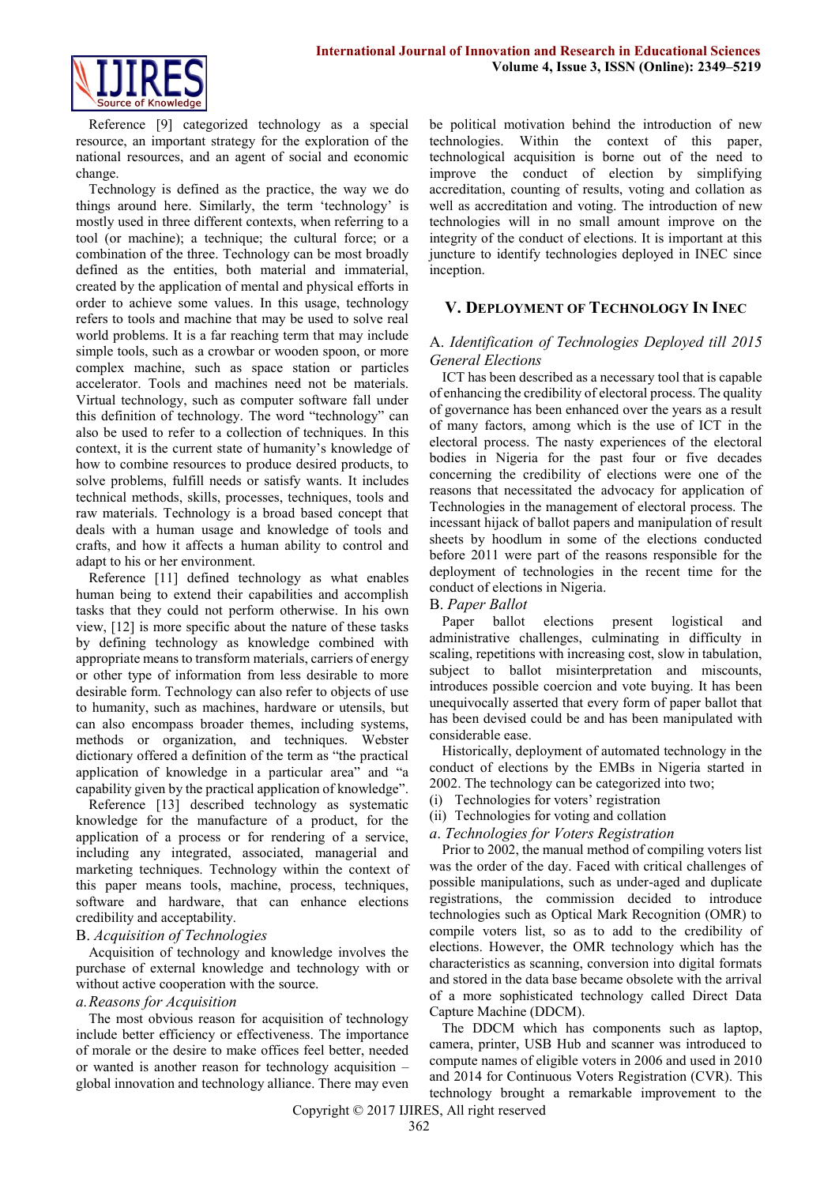

Reference [9] categorized technology as a special resource, an important strategy for the exploration of the national resources, and an agent of social and economic change.

Technology is defined as the practice, the way we do things around here. Similarly, the term 'technology' is mostly used in three different contexts, when referring to a tool (or machine); a technique; the cultural force; or a combination of the three. Technology can be most broadly defined as the entities, both material and immaterial, created by the application of mental and physical efforts in order to achieve some values. In this usage, technology refers to tools and machine that may be used to solve real world problems. It is a far reaching term that may include simple tools, such as a crowbar or wooden spoon, or more complex machine, such as space station or particles accelerator. Tools and machines need not be materials. Virtual technology, such as computer software fall under this definition of technology. The word "technology" can also be used to refer to a collection of techniques. In this context, it is the current state of humanity's knowledge of how to combine resources to produce desired products, to solve problems, fulfill needs or satisfy wants. It includes technical methods, skills, processes, techniques, tools and raw materials. Technology is a broad based concept that deals with a human usage and knowledge of tools and crafts, and how it affects a human ability to control and adapt to his or her environment.

Reference [11] defined technology as what enables human being to extend their capabilities and accomplish tasks that they could not perform otherwise. In his own view, [12] is more specific about the nature of these tasks by defining technology as knowledge combined with appropriate means to transform materials, carriers of energy or other type of information from less desirable to more desirable form. Technology can also refer to objects of use to humanity, such as machines, hardware or utensils, but can also encompass broader themes, including systems, methods or organization, and techniques. Webster dictionary offered a definition of the term as "the practical application of knowledge in a particular area" and "a capability given by the practical application of knowledge".

Reference [13] described technology as systematic knowledge for the manufacture of a product, for the application of a process or for rendering of a service, including any integrated, associated, managerial and marketing techniques. Technology within the context of this paper means tools, machine, process, techniques, software and hardware, that can enhance elections credibility and acceptability.

#### B. *Acquisition of Technologies*

Acquisition of technology and knowledge involves the purchase of external knowledge and technology with or without active cooperation with the source.

#### *a.Reasons for Acquisition*

The most obvious reason for acquisition of technology include better efficiency or effectiveness. The importance of morale or the desire to make offices feel better, needed or wanted is another reason for technology acquisition – global innovation and technology alliance. There may even be political motivation behind the introduction of new technologies. Within the context of this paper, technological acquisition is borne out of the need to improve the conduct of election by simplifying accreditation, counting of results, voting and collation as well as accreditation and voting. The introduction of new technologies will in no small amount improve on the integrity of the conduct of elections. It is important at this juncture to identify technologies deployed in INEC since inception.

## **V. DEPLOYMENT OF TECHNOLOGY IN INEC**

## A. *Identification of Technologies Deployed till 2015 General Elections*

ICT has been described as a necessary tool that is capable of enhancing the credibility of electoral process. The quality of governance has been enhanced over the years as a result of many factors, among which is the use of ICT in the electoral process. The nasty experiences of the electoral bodies in Nigeria for the past four or five decades concerning the credibility of elections were one of the reasons that necessitated the advocacy for application of Technologies in the management of electoral process. The incessant hijack of ballot papers and manipulation of result sheets by hoodlum in some of the elections conducted before 2011 were part of the reasons responsible for the deployment of technologies in the recent time for the conduct of elections in Nigeria.

#### B. *Paper Ballot*

Paper ballot elections present logistical and administrative challenges, culminating in difficulty in scaling, repetitions with increasing cost, slow in tabulation, subject to ballot misinterpretation and miscounts, introduces possible coercion and vote buying. It has been unequivocally asserted that every form of paper ballot that has been devised could be and has been manipulated with considerable ease.

Historically, deployment of automated technology in the conduct of elections by the EMBs in Nigeria started in 2002. The technology can be categorized into two;

(i) Technologies for voters' registration

- (ii) Technologies for voting and collation
- *a*. *Technologies for Voters Registration*

Prior to 2002, the manual method of compiling voters list was the order of the day. Faced with critical challenges of possible manipulations, such as under-aged and duplicate registrations, the commission decided to introduce technologies such as Optical Mark Recognition (OMR) to compile voters list, so as to add to the credibility of elections. However, the OMR technology which has the characteristics as scanning, conversion into digital formats and stored in the data base became obsolete with the arrival of a more sophisticated technology called Direct Data Capture Machine (DDCM).

The DDCM which has components such as laptop, camera, printer, USB Hub and scanner was introduced to compute names of eligible voters in 2006 and used in 2010 and 2014 for Continuous Voters Registration (CVR). This technology brought a remarkable improvement to the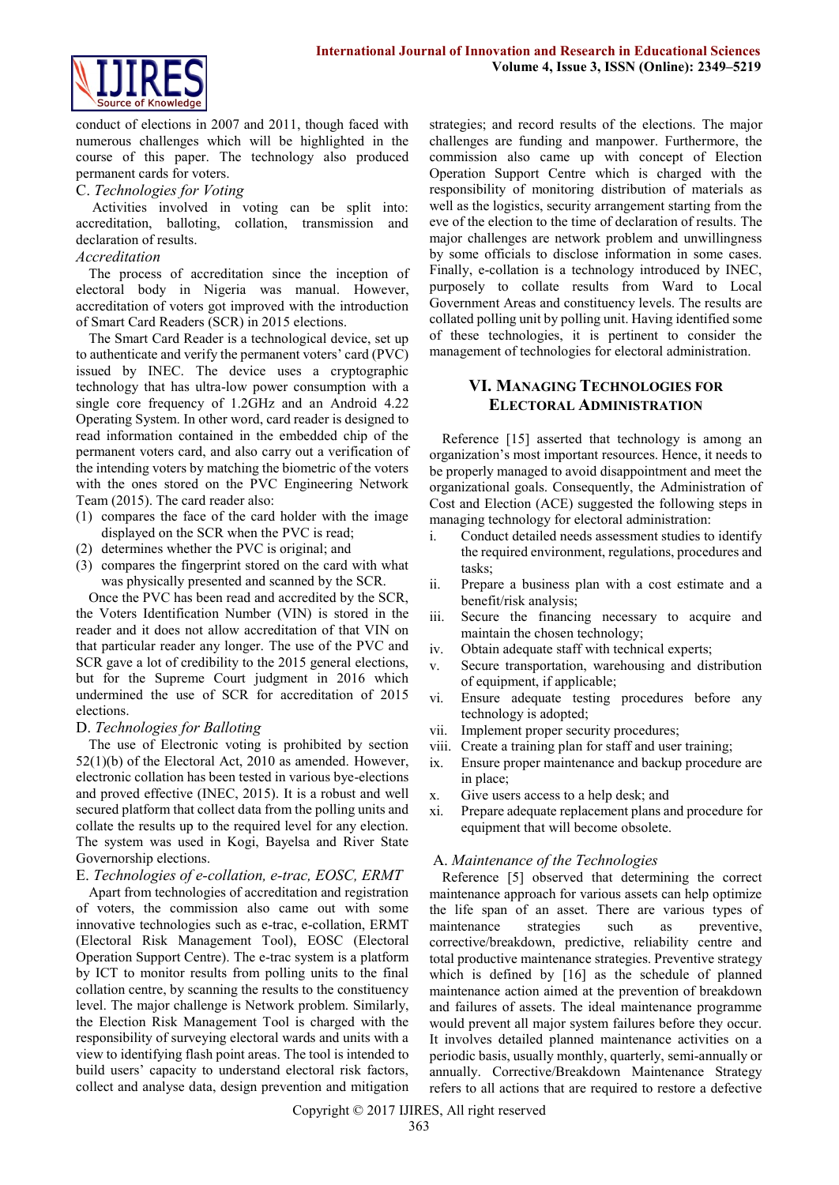

conduct of elections in 2007 and 2011, though faced with numerous challenges which will be highlighted in the course of this paper. The technology also produced permanent cards for voters.

#### C. *Technologies for Voting*

Activities involved in voting can be split into: accreditation, balloting, collation, transmission and declaration of results.

## *Accreditation*

The process of accreditation since the inception of electoral body in Nigeria was manual. However, accreditation of voters got improved with the introduction of Smart Card Readers (SCR) in 2015 elections.

The Smart Card Reader is a technological device, set up to authenticate and verify the permanent voters' card (PVC) issued by INEC. The device uses a cryptographic technology that has ultra-low power consumption with a single core frequency of 1.2GHz and an Android 4.22 Operating System. In other word, card reader is designed to read information contained in the embedded chip of the permanent voters card, and also carry out a verification of the intending voters by matching the biometric of the voters with the ones stored on the PVC Engineering Network Team (2015). The card reader also:

- (1) compares the face of the card holder with the image displayed on the SCR when the PVC is read;
- (2) determines whether the PVC is original; and
- (3) compares the fingerprint stored on the card with what was physically presented and scanned by the SCR.

Once the PVC has been read and accredited by the SCR, the Voters Identification Number (VIN) is stored in the reader and it does not allow accreditation of that VIN on that particular reader any longer. The use of the PVC and SCR gave a lot of credibility to the 2015 general elections, but for the Supreme Court judgment in 2016 which undermined the use of SCR for accreditation of 2015 elections.

## D. *Technologies for Balloting*

The use of Electronic voting is prohibited by section 52(1)(b) of the Electoral Act, 2010 as amended. However, electronic collation has been tested in various bye-elections and proved effective (INEC, 2015). It is a robust and well secured platform that collect data from the polling units and collate the results up to the required level for any election. The system was used in Kogi, Bayelsa and River State Governorship elections.

## E. *Technologies of e-collation, e-trac, EOSC, ERMT*

Apart from technologies of accreditation and registration of voters, the commission also came out with some innovative technologies such as e-trac, e-collation, ERMT (Electoral Risk Management Tool), EOSC (Electoral Operation Support Centre). The e-trac system is a platform by ICT to monitor results from polling units to the final collation centre, by scanning the results to the constituency level. The major challenge is Network problem. Similarly, the Election Risk Management Tool is charged with the responsibility of surveying electoral wards and units with a view to identifying flash point areas. The tool is intended to build users' capacity to understand electoral risk factors, collect and analyse data, design prevention and mitigation strategies; and record results of the elections. The major challenges are funding and manpower. Furthermore, the commission also came up with concept of Election Operation Support Centre which is charged with the responsibility of monitoring distribution of materials as well as the logistics, security arrangement starting from the eve of the election to the time of declaration of results. The major challenges are network problem and unwillingness by some officials to disclose information in some cases. Finally, e-collation is a technology introduced by INEC, purposely to collate results from Ward to Local Government Areas and constituency levels. The results are collated polling unit by polling unit. Having identified some of these technologies, it is pertinent to consider the management of technologies for electoral administration.

## **VI. MANAGING TECHNOLOGIES FOR ELECTORAL ADMINISTRATION**

Reference [15] asserted that technology is among an organization's most important resources. Hence, it needs to be properly managed to avoid disappointment and meet the organizational goals. Consequently, the Administration of Cost and Election (ACE) suggested the following steps in managing technology for electoral administration:

- i. Conduct detailed needs assessment studies to identify the required environment, regulations, procedures and tasks;
- ii. Prepare a business plan with a cost estimate and a benefit/risk analysis;
- iii. Secure the financing necessary to acquire and maintain the chosen technology;
- iv. Obtain adequate staff with technical experts;
- v. Secure transportation, warehousing and distribution of equipment, if applicable;
- vi. Ensure adequate testing procedures before any technology is adopted;
- vii. Implement proper security procedures;
- viii. Create a training plan for staff and user training;
- ix. Ensure proper maintenance and backup procedure are in place;
- x. Give users access to a help desk; and
- xi. Prepare adequate replacement plans and procedure for equipment that will become obsolete.

## A. *Maintenance of the Technologies*

Reference [5] observed that determining the correct maintenance approach for various assets can help optimize the life span of an asset. There are various types of maintenance strategies such as preventive, corrective/breakdown, predictive, reliability centre and total productive maintenance strategies. Preventive strategy which is defined by [16] as the schedule of planned maintenance action aimed at the prevention of breakdown and failures of assets. The ideal maintenance programme would prevent all major system failures before they occur. It involves detailed planned maintenance activities on a periodic basis, usually monthly, quarterly, semi-annually or annually. Corrective/Breakdown Maintenance Strategy refers to all actions that are required to restore a defective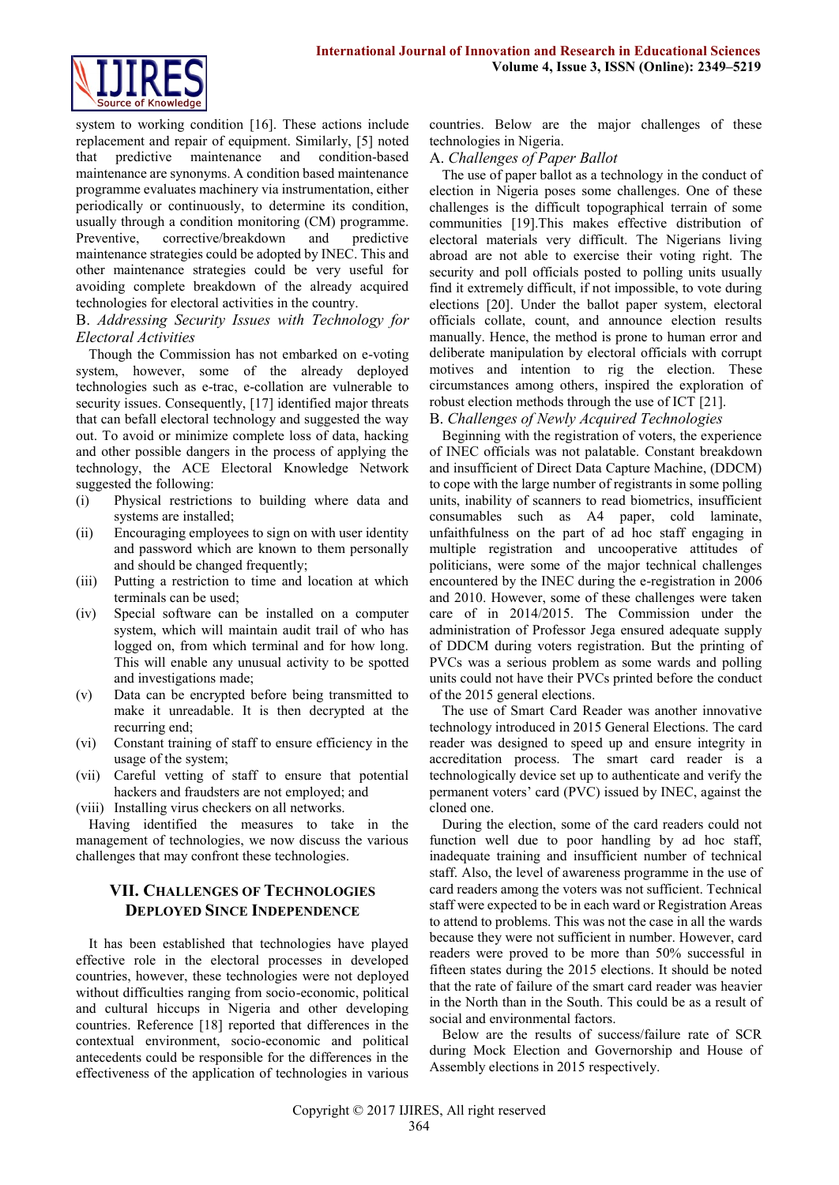

system to working condition [16]. These actions include replacement and repair of equipment. Similarly, [5] noted that predictive maintenance and condition-based maintenance are synonyms. A condition based maintenance programme evaluates machinery via instrumentation, either periodically or continuously, to determine its condition, usually through a condition monitoring (CM) programme. Preventive, corrective/breakdown and predictive maintenance strategies could be adopted by INEC. This and other maintenance strategies could be very useful for avoiding complete breakdown of the already acquired technologies for electoral activities in the country.

## B. *Addressing Security Issues with Technology for Electoral Activities*

Though the Commission has not embarked on e-voting system, however, some of the already deployed technologies such as e-trac, e-collation are vulnerable to security issues. Consequently, [17] identified major threats that can befall electoral technology and suggested the way out. To avoid or minimize complete loss of data, hacking and other possible dangers in the process of applying the technology, the ACE Electoral Knowledge Network suggested the following:

- (i) Physical restrictions to building where data and systems are installed;
- (ii) Encouraging employees to sign on with user identity and password which are known to them personally and should be changed frequently;
- (iii) Putting a restriction to time and location at which terminals can be used;
- (iv) Special software can be installed on a computer system, which will maintain audit trail of who has logged on, from which terminal and for how long. This will enable any unusual activity to be spotted and investigations made;
- (v) Data can be encrypted before being transmitted to make it unreadable. It is then decrypted at the recurring end;
- (vi) Constant training of staff to ensure efficiency in the usage of the system;
- (vii) Careful vetting of staff to ensure that potential hackers and fraudsters are not employed; and
- (viii) Installing virus checkers on all networks.

Having identified the measures to take in the management of technologies, we now discuss the various challenges that may confront these technologies.

## **VII. CHALLENGES OF TECHNOLOGIES DEPLOYED SINCE INDEPENDENCE**

It has been established that technologies have played effective role in the electoral processes in developed countries, however, these technologies were not deployed without difficulties ranging from socio-economic, political and cultural hiccups in Nigeria and other developing countries. Reference [18] reported that differences in the contextual environment, socio-economic and political antecedents could be responsible for the differences in the effectiveness of the application of technologies in various countries. Below are the major challenges of these technologies in Nigeria.

## A. *Challenges of Paper Ballot*

The use of paper ballot as a technology in the conduct of election in Nigeria poses some challenges. One of these challenges is the difficult topographical terrain of some communities [19].This makes effective distribution of electoral materials very difficult. The Nigerians living abroad are not able to exercise their voting right. The security and poll officials posted to polling units usually find it extremely difficult, if not impossible, to vote during elections [20]. Under the ballot paper system, electoral officials collate, count, and announce election results manually. Hence, the method is prone to human error and deliberate manipulation by electoral officials with corrupt motives and intention to rig the election. These circumstances among others, inspired the exploration of robust election methods through the use of ICT [21]. B. *Challenges of Newly Acquired Technologies*

Beginning with the registration of voters, the experience of INEC officials was not palatable. Constant breakdown and insufficient of Direct Data Capture Machine, (DDCM) to cope with the large number of registrants in some polling units, inability of scanners to read biometrics, insufficient consumables such as A4 paper, cold laminate, unfaithfulness on the part of ad hoc staff engaging in multiple registration and uncooperative attitudes of politicians, were some of the major technical challenges encountered by the INEC during the e-registration in 2006 and 2010. However, some of these challenges were taken care of in 2014/2015. The Commission under the administration of Professor Jega ensured adequate supply of DDCM during voters registration. But the printing of PVCs was a serious problem as some wards and polling units could not have their PVCs printed before the conduct

of the 2015 general elections. The use of Smart Card Reader was another innovative technology introduced in 2015 General Elections. The card reader was designed to speed up and ensure integrity in accreditation process. The smart card reader is a technologically device set up to authenticate and verify the permanent voters' card (PVC) issued by INEC, against the cloned one.

During the election, some of the card readers could not function well due to poor handling by ad hoc staff, inadequate training and insufficient number of technical staff. Also, the level of awareness programme in the use of card readers among the voters was not sufficient. Technical staff were expected to be in each ward or Registration Areas to attend to problems. This was not the case in all the wards because they were not sufficient in number. However, card readers were proved to be more than 50% successful in fifteen states during the 2015 elections. It should be noted that the rate of failure of the smart card reader was heavier in the North than in the South. This could be as a result of social and environmental factors.

Below are the results of success/failure rate of SCR during Mock Election and Governorship and House of Assembly elections in 2015 respectively.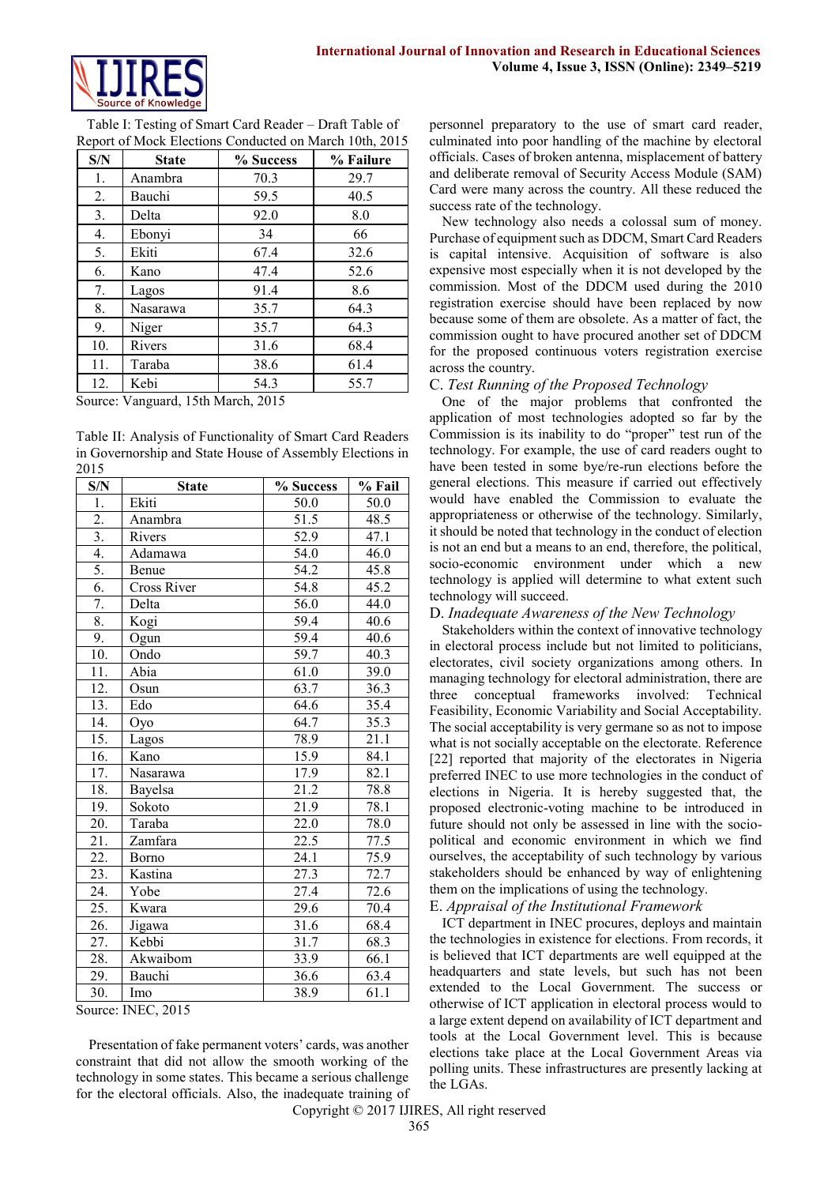

Table I: Testing of Smart Card Reader – Draft Table of Report of Mock Elections Conducted on March 10th, 2015

| S/N | <b>State</b> | % Success | % Failure |
|-----|--------------|-----------|-----------|
| 1.  | Anambra      | 70.3      | 29.7      |
| 2.  | Bauchi       | 59.5      | 40.5      |
| 3.  | Delta        | 92.0      | 8.0       |
| 4.  | Ebonyi       | 34        | 66        |
| 5.  | Ekiti        | 67.4      | 32.6      |
| 6.  | Kano         | 47.4      | 52.6      |
| 7.  | Lagos        | 91.4      | 8.6       |
| 8.  | Nasarawa     | 35.7      | 64.3      |
| 9.  | Niger        | 35.7      | 64.3      |
| 10. | Rivers       | 31.6      | 68.4      |
| 11. | Taraba       | 38.6      | 61.4      |
| 12. | Kebi         | 54.3      | 55.7      |

Source: Vanguard, 15th March, 2015

Table II: Analysis of Functionality of Smart Card Readers in Governorship and State House of Assembly Elections in 2015

| S/N               | <b>State</b>       | % Success         | % Fail |
|-------------------|--------------------|-------------------|--------|
| 1.                | Ekiti              | 50.0              | 50.0   |
| $\overline{2}$ .  | Anambra            | 51.5              | 48.5   |
| $\overline{3}$ .  | Rivers             | 52.9              | 47.1   |
| $\overline{4}$ .  | Adamawa            | $\overline{5}4.0$ | 46.0   |
| 5.                | Benue              | 54.2              | 45.8   |
| 6.                | <b>Cross River</b> | $\overline{54.8}$ | 45.2   |
| 7.                | Delta              | 56.0              | 44.0   |
| 8.                | Kogi               | 59.4              | 40.6   |
| 9.                | Ogun               | 59.4              | 40.6   |
| $\overline{10}$ . | Ondo               | 59.7              | 40.3   |
| 11.               | Abia               | 61.0              | 39.0   |
| 12.               | Osun               | 63.7              | 36.3   |
| 13.               | Edo                | 64.6              | 35.4   |
| $\overline{14}$ . | Oyo                | 64.7              | 35.3   |
| 15.               | Lagos              | 78.9              | 21.1   |
| $\overline{16}$ . | Kano               | 15.9              | 84.1   |
| 17.               | Nasarawa           | 17.9              | 82.1   |
| 18.               | Bayelsa            | 21.2              | 78.8   |
| 19.               | Sokoto             | 21.9              | 78.1   |
| 20.               | Taraba             | 22.0              | 78.0   |
| 21.               | Zamfara            | 22.5              | 77.5   |
| 22.               | <b>Borno</b>       | 24.1              | 75.9   |
| 23.               | Kastina            | 27.3              | 72.7   |
| 24.               | Yobe               | 27.4              | 72.6   |
| 25.               | Kwara              | 29.6              | 70.4   |
| 26.               | Jigawa             | 31.6              | 68.4   |
| 27.               | Kebbi              | $\overline{3}1.7$ | 68.3   |
| 28.               | Akwaibom           | 33.9              | 66.1   |
| 29.               | Bauchi             | 36.6              | 63.4   |
| 30.               | Imo                | 38.9              | 61.1   |

Source: INEC, 2015

Presentation of fake permanent voters' cards, was another constraint that did not allow the smooth working of the technology in some states. This became a serious challenge for the electoral officials. Also, the inadequate training of personnel preparatory to the use of smart card reader, culminated into poor handling of the machine by electoral officials. Cases of broken antenna, misplacement of battery and deliberate removal of Security Access Module (SAM) Card were many across the country. All these reduced the success rate of the technology.

New technology also needs a colossal sum of money. Purchase of equipment such as DDCM, Smart Card Readers is capital intensive. Acquisition of software is also expensive most especially when it is not developed by the commission. Most of the DDCM used during the 2010 registration exercise should have been replaced by now because some of them are obsolete. As a matter of fact, the commission ought to have procured another set of DDCM for the proposed continuous voters registration exercise across the country.

## C. *Test Running of the Proposed Technology*

One of the major problems that confronted the application of most technologies adopted so far by the Commission is its inability to do "proper" test run of the technology. For example, the use of card readers ought to have been tested in some bye/re-run elections before the general elections. This measure if carried out effectively would have enabled the Commission to evaluate the appropriateness or otherwise of the technology. Similarly, it should be noted that technology in the conduct of election is not an end but a means to an end, therefore, the political, socio-economic environment under which a new technology is applied will determine to what extent such technology will succeed.

#### D. *Inadequate Awareness of the New Technology*

Stakeholders within the context of innovative technology in electoral process include but not limited to politicians, electorates, civil society organizations among others. In managing technology for electoral administration, there are three conceptual frameworks involved: Technical Feasibility, Economic Variability and Social Acceptability. The social acceptability is very germane so as not to impose what is not socially acceptable on the electorate. Reference [22] reported that majority of the electorates in Nigeria preferred INEC to use more technologies in the conduct of elections in Nigeria. It is hereby suggested that, the proposed electronic-voting machine to be introduced in future should not only be assessed in line with the sociopolitical and economic environment in which we find ourselves, the acceptability of such technology by various stakeholders should be enhanced by way of enlightening them on the implications of using the technology. E. *Appraisal of the Institutional Framework*

ICT department in INEC procures, deploys and maintain the technologies in existence for elections. From records, it is believed that ICT departments are well equipped at the headquarters and state levels, but such has not been extended to the Local Government. The success or otherwise of ICT application in electoral process would to a large extent depend on availability of ICT department and tools at the Local Government level. This is because elections take place at the Local Government Areas via polling units. These infrastructures are presently lacking at the LGAs.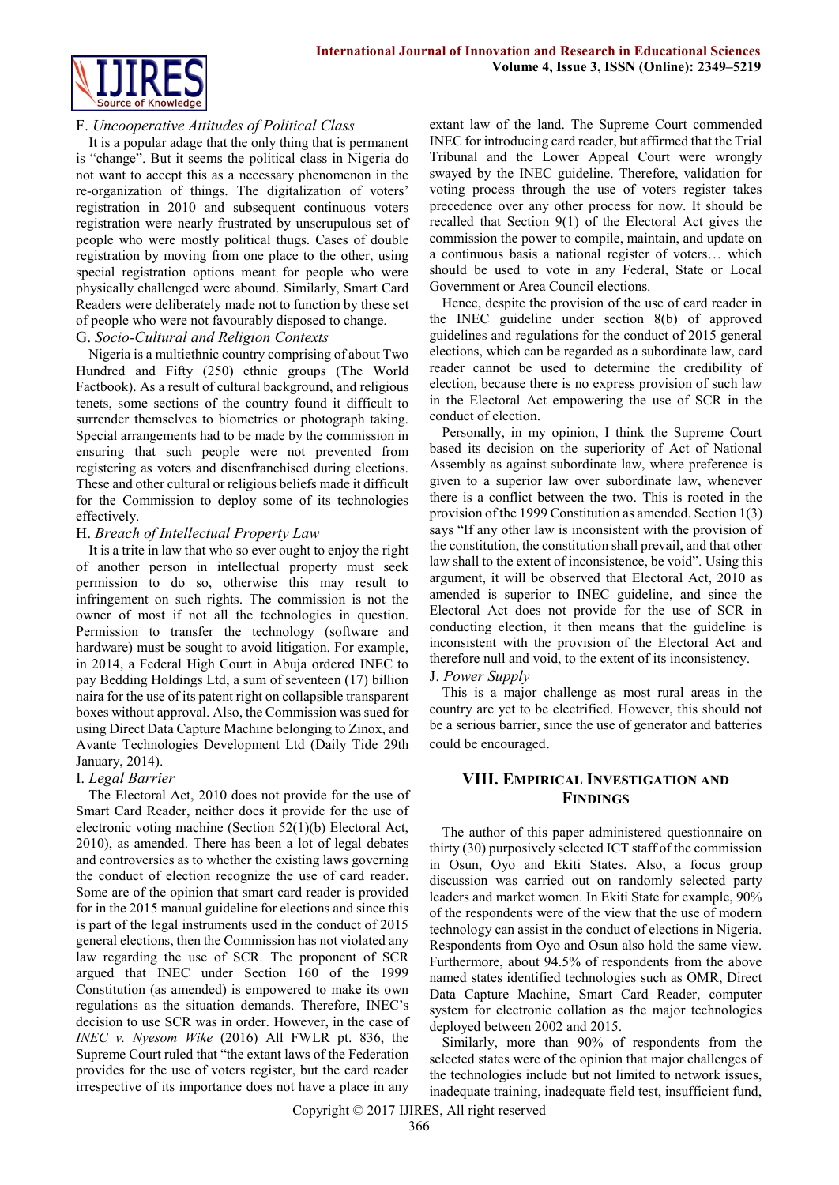

### F. *Uncooperative Attitudes of Political Class*

It is a popular adage that the only thing that is permanent is "change". But it seems the political class in Nigeria do not want to accept this as a necessary phenomenon in the re-organization of things. The digitalization of voters' registration in 2010 and subsequent continuous voters registration were nearly frustrated by unscrupulous set of people who were mostly political thugs. Cases of double registration by moving from one place to the other, using special registration options meant for people who were physically challenged were abound. Similarly, Smart Card Readers were deliberately made not to function by these set of people who were not favourably disposed to change.

#### G. *Socio-Cultural and Religion Contexts*

Nigeria is a multiethnic country comprising of about Two Hundred and Fifty (250) ethnic groups (The World Factbook). As a result of cultural background, and religious tenets, some sections of the country found it difficult to surrender themselves to biometrics or photograph taking. Special arrangements had to be made by the commission in ensuring that such people were not prevented from registering as voters and disenfranchised during elections. These and other cultural or religious beliefs made it difficult for the Commission to deploy some of its technologies effectively.

## H. *Breach of Intellectual Property Law*

It is a trite in law that who so ever ought to enjoy the right of another person in intellectual property must seek permission to do so, otherwise this may result to infringement on such rights. The commission is not the owner of most if not all the technologies in question. Permission to transfer the technology (software and hardware) must be sought to avoid litigation. For example, in 2014, a Federal High Court in Abuja ordered INEC to pay Bedding Holdings Ltd, a sum of seventeen (17) billion naira for the use of its patent right on collapsible transparent boxes without approval. Also, the Commission was sued for using Direct Data Capture Machine belonging to Zinox, and Avante Technologies Development Ltd (Daily Tide 29th January, 2014).

#### I. *Legal Barrier*

The Electoral Act, 2010 does not provide for the use of Smart Card Reader, neither does it provide for the use of electronic voting machine (Section 52(1)(b) Electoral Act, 2010), as amended. There has been a lot of legal debates and controversies as to whether the existing laws governing the conduct of election recognize the use of card reader. Some are of the opinion that smart card reader is provided for in the 2015 manual guideline for elections and since this is part of the legal instruments used in the conduct of 2015 general elections, then the Commission has not violated any law regarding the use of SCR. The proponent of SCR argued that INEC under Section 160 of the 1999 Constitution (as amended) is empowered to make its own regulations as the situation demands. Therefore, INEC's decision to use SCR was in order. However, in the case of *INEC v. Nyesom Wike* (2016) All FWLR pt. 836, the Supreme Court ruled that "the extant laws of the Federation provides for the use of voters register, but the card reader irrespective of its importance does not have a place in any

extant law of the land. The Supreme Court commended INEC for introducing card reader, but affirmed that the Trial Tribunal and the Lower Appeal Court were wrongly swayed by the INEC guideline. Therefore, validation for voting process through the use of voters register takes precedence over any other process for now. It should be recalled that Section 9(1) of the Electoral Act gives the commission the power to compile, maintain, and update on a continuous basis a national register of voters… which should be used to vote in any Federal, State or Local Government or Area Council elections.

Hence, despite the provision of the use of card reader in the INEC guideline under section 8(b) of approved guidelines and regulations for the conduct of 2015 general elections, which can be regarded as a subordinate law, card reader cannot be used to determine the credibility of election, because there is no express provision of such law in the Electoral Act empowering the use of SCR in the conduct of election.

Personally, in my opinion, I think the Supreme Court based its decision on the superiority of Act of National Assembly as against subordinate law, where preference is given to a superior law over subordinate law, whenever there is a conflict between the two. This is rooted in the provision of the 1999 Constitution as amended. Section 1(3) says "If any other law is inconsistent with the provision of the constitution, the constitution shall prevail, and that other law shall to the extent of inconsistence, be void". Using this argument, it will be observed that Electoral Act, 2010 as amended is superior to INEC guideline, and since the Electoral Act does not provide for the use of SCR in conducting election, it then means that the guideline is inconsistent with the provision of the Electoral Act and therefore null and void, to the extent of its inconsistency.

#### J. *Power Supply*

This is a major challenge as most rural areas in the country are yet to be electrified. However, this should not be a serious barrier, since the use of generator and batteries could be encouraged.

## **VIII. EMPIRICAL INVESTIGATION AND FINDINGS**

The author of this paper administered questionnaire on thirty (30) purposively selected ICT staff of the commission in Osun, Oyo and Ekiti States. Also, a focus group discussion was carried out on randomly selected party leaders and market women. In Ekiti State for example, 90% of the respondents were of the view that the use of modern technology can assist in the conduct of elections in Nigeria. Respondents from Oyo and Osun also hold the same view. Furthermore, about 94.5% of respondents from the above named states identified technologies such as OMR, Direct Data Capture Machine, Smart Card Reader, computer system for electronic collation as the major technologies deployed between 2002 and 2015.

Similarly, more than 90% of respondents from the selected states were of the opinion that major challenges of the technologies include but not limited to network issues, inadequate training, inadequate field test, insufficient fund,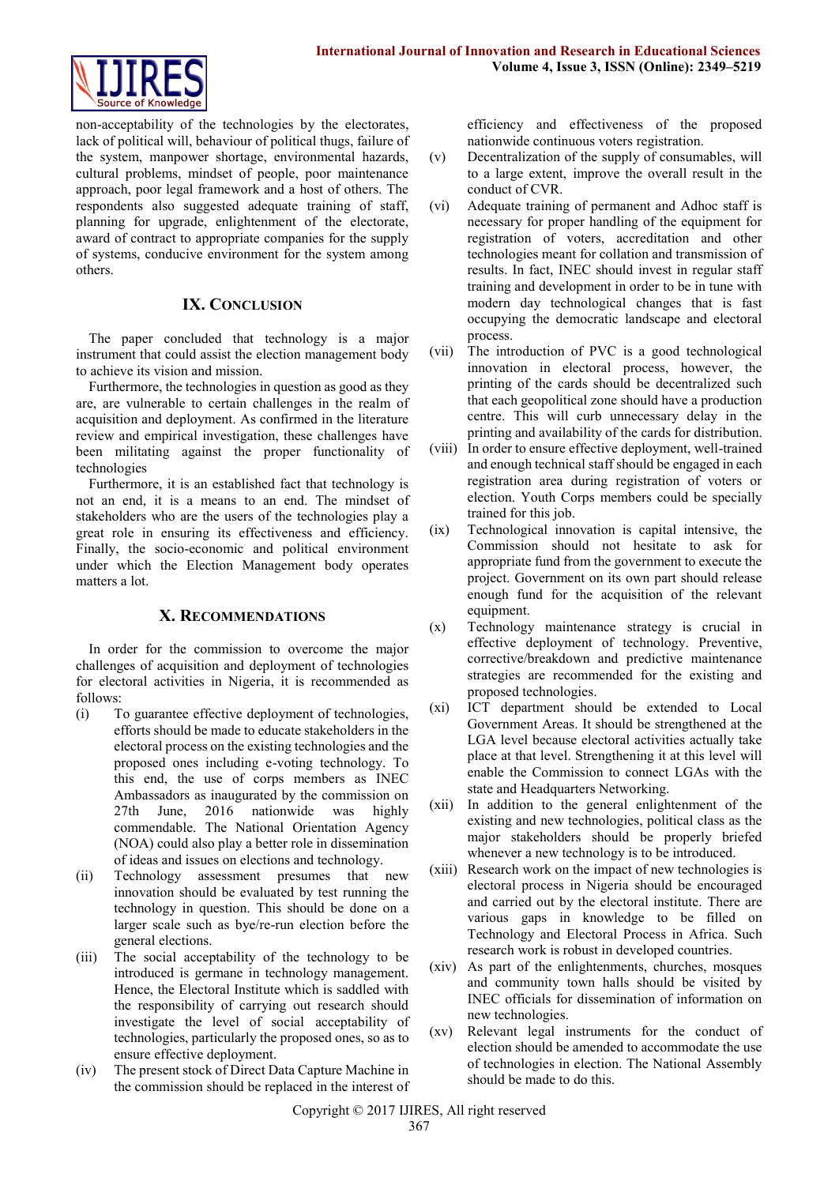

non-acceptability of the technologies by the electorates, lack of political will, behaviour of political thugs, failure of the system, manpower shortage, environmental hazards, cultural problems, mindset of people, poor maintenance approach, poor legal framework and a host of others. The respondents also suggested adequate training of staff, planning for upgrade, enlightenment of the electorate, award of contract to appropriate companies for the supply of systems, conducive environment for the system among others.

## **IX. CONCLUSION**

The paper concluded that technology is a major instrument that could assist the election management body to achieve its vision and mission.

Furthermore, the technologies in question as good as they are, are vulnerable to certain challenges in the realm of acquisition and deployment. As confirmed in the literature review and empirical investigation, these challenges have been militating against the proper functionality of technologies

Furthermore, it is an established fact that technology is not an end, it is a means to an end. The mindset of stakeholders who are the users of the technologies play a great role in ensuring its effectiveness and efficiency. Finally, the socio-economic and political environment under which the Election Management body operates matters a lot.

## **X. RECOMMENDATIONS**

In order for the commission to overcome the major challenges of acquisition and deployment of technologies for electoral activities in Nigeria, it is recommended as follows:

- (i) To guarantee effective deployment of technologies, efforts should be made to educate stakeholders in the electoral process on the existing technologies and the proposed ones including e-voting technology. To this end, the use of corps members as INEC Ambassadors as inaugurated by the commission on 27th June, 2016 nationwide was highly commendable. The National Orientation Agency (NOA) could also play a better role in dissemination of ideas and issues on elections and technology.
- (ii) Technology assessment presumes that new innovation should be evaluated by test running the technology in question. This should be done on a larger scale such as bye/re-run election before the general elections.
- (iii) The social acceptability of the technology to be introduced is germane in technology management. Hence, the Electoral Institute which is saddled with the responsibility of carrying out research should investigate the level of social acceptability of technologies, particularly the proposed ones, so as to ensure effective deployment.
- (iv) The present stock of Direct Data Capture Machine in the commission should be replaced in the interest of

efficiency and effectiveness of the proposed nationwide continuous voters registration.

- (v) Decentralization of the supply of consumables, will to a large extent, improve the overall result in the conduct of CVR.
- (vi) Adequate training of permanent and Adhoc staff is necessary for proper handling of the equipment for registration of voters, accreditation and other technologies meant for collation and transmission of results. In fact, INEC should invest in regular staff training and development in order to be in tune with modern day technological changes that is fast occupying the democratic landscape and electoral process.
- (vii) The introduction of PVC is a good technological innovation in electoral process, however, the printing of the cards should be decentralized such that each geopolitical zone should have a production centre. This will curb unnecessary delay in the printing and availability of the cards for distribution.
- (viii) In order to ensure effective deployment, well-trained and enough technical staff should be engaged in each registration area during registration of voters or election. Youth Corps members could be specially trained for this job.
- (ix) Technological innovation is capital intensive, the Commission should not hesitate to ask for appropriate fund from the government to execute the project. Government on its own part should release enough fund for the acquisition of the relevant equipment.
- (x) Technology maintenance strategy is crucial in effective deployment of technology. Preventive, corrective/breakdown and predictive maintenance strategies are recommended for the existing and proposed technologies.
- (xi) ICT department should be extended to Local Government Areas. It should be strengthened at the LGA level because electoral activities actually take place at that level. Strengthening it at this level will enable the Commission to connect LGAs with the state and Headquarters Networking.
- (xii) In addition to the general enlightenment of the existing and new technologies, political class as the major stakeholders should be properly briefed whenever a new technology is to be introduced.
- (xiii) Research work on the impact of new technologies is electoral process in Nigeria should be encouraged and carried out by the electoral institute. There are various gaps in knowledge to be filled on Technology and Electoral Process in Africa. Such research work is robust in developed countries.
- (xiv) As part of the enlightenments, churches, mosques and community town halls should be visited by INEC officials for dissemination of information on new technologies.
- (xv) Relevant legal instruments for the conduct of election should be amended to accommodate the use of technologies in election. The National Assembly should be made to do this.